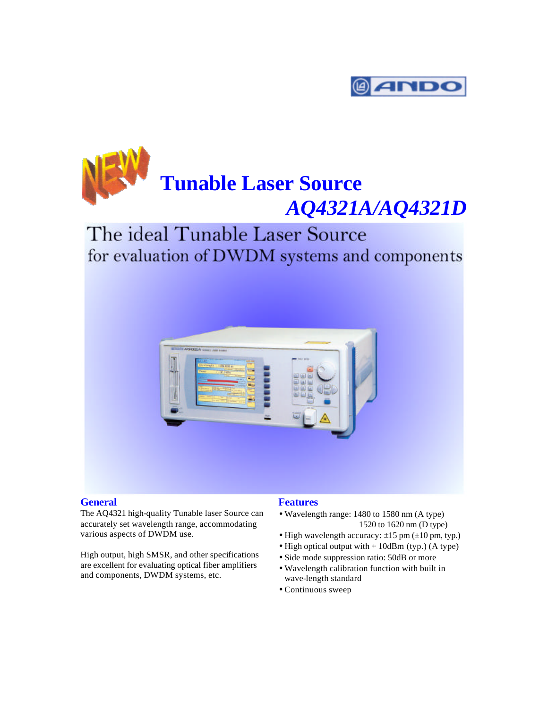

# **Tunable Laser Source** *AQ4321A/AQ4321D*

### The ideal Tunable Laser Source for evaluation of DWDM systems and components



#### **General Features**

The AQ4321 high-quality Tunable laser Source can accurately set wavelength range, accommodating various aspects of DWDM use.

High output, high SMSR, and other specifications are excellent for evaluating optical fiber amplifiers and components, DWDM systems, etc.

- Wavelength range: 1480 to 1580 nm (A type) 1520 to 1620 nm (D type)
- High wavelength accuracy: ±15 pm (±10 pm, typ.)
- High optical output with + 10dBm (typ.) (A type)
- Side mode suppression ratio: 50dB or more
- Wavelength calibration function with built in wave-length standard
- Continuous sweep